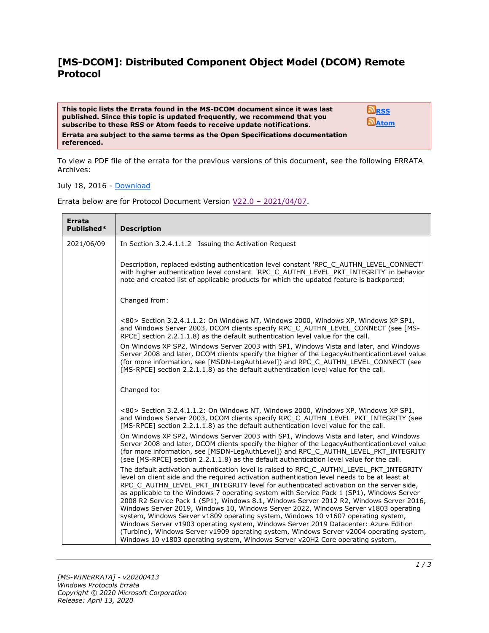## **[MS-DCOM]: Distributed Component Object Model (DCOM) Remote Protocol**

**This topic lists the Errata found in the MS-DCOM document since it was last published. Since this topic is updated frequently, we recommend that you subscribe to these RSS or Atom feeds to receive update notifications. Errata are subject to the same terms as the Open Specifications documentation referenced.**

**[RSS](http://blogs.msdn.com/b/protocol_content_errata/rss.aspx) [Atom](http://blogs.msdn.com/b/protocol_content_errata/atom.aspx)**

To view a PDF file of the errata for the previous versions of this document, see the following ERRATA Archives:

July 18, 2016 - [Download](http://go.microsoft.com/fwlink/?LinkId=822549)

Errata below are for Protocol Document Version  $V22.0 - 2021/04/07$ .

| Errata<br>Published* | <b>Description</b>                                                                                                                                                                                                                                                                                                                                                                                                                                                                                                                                                                                                                                                                                                                                                                                                                                                                                                             |
|----------------------|--------------------------------------------------------------------------------------------------------------------------------------------------------------------------------------------------------------------------------------------------------------------------------------------------------------------------------------------------------------------------------------------------------------------------------------------------------------------------------------------------------------------------------------------------------------------------------------------------------------------------------------------------------------------------------------------------------------------------------------------------------------------------------------------------------------------------------------------------------------------------------------------------------------------------------|
| 2021/06/09           | In Section 3.2.4.1.1.2 Issuing the Activation Request                                                                                                                                                                                                                                                                                                                                                                                                                                                                                                                                                                                                                                                                                                                                                                                                                                                                          |
|                      | Description, replaced existing authentication level constant 'RPC_C_AUTHN_LEVEL_CONNECT'<br>with higher authentication level constant 'RPC_C_AUTHN_LEVEL_PKT_INTEGRITY' in behavior<br>note and created list of applicable products for which the updated feature is backported:                                                                                                                                                                                                                                                                                                                                                                                                                                                                                                                                                                                                                                               |
|                      | Changed from:                                                                                                                                                                                                                                                                                                                                                                                                                                                                                                                                                                                                                                                                                                                                                                                                                                                                                                                  |
|                      | <80> Section 3.2.4.1.1.2: On Windows NT, Windows 2000, Windows XP, Windows XP SP1,<br>and Windows Server 2003, DCOM clients specify RPC_C_AUTHN_LEVEL_CONNECT (see [MS-<br>RPCE] section 2.2.1.1.8) as the default authentication level value for the call.<br>On Windows XP SP2, Windows Server 2003 with SP1, Windows Vista and later, and Windows<br>Server 2008 and later, DCOM clients specify the higher of the LegacyAuthenticationLevel value<br>(for more information, see [MSDN-LegAuthLevel]) and RPC C AUTHN LEVEL CONNECT (see<br>[MS-RPCE] section 2.2.1.1.8) as the default authentication level value for the call.                                                                                                                                                                                                                                                                                            |
|                      | Changed to:                                                                                                                                                                                                                                                                                                                                                                                                                                                                                                                                                                                                                                                                                                                                                                                                                                                                                                                    |
|                      | <80> Section 3.2.4.1.1.2: On Windows NT, Windows 2000, Windows XP, Windows XP SP1,<br>and Windows Server 2003, DCOM clients specify RPC_C_AUTHN_LEVEL_PKT_INTEGRITY (see<br>[MS-RPCE] section 2.2.1.1.8) as the default authentication level value for the call.                                                                                                                                                                                                                                                                                                                                                                                                                                                                                                                                                                                                                                                               |
|                      | On Windows XP SP2, Windows Server 2003 with SP1, Windows Vista and later, and Windows<br>Server 2008 and later, DCOM clients specify the higher of the LegacyAuthenticationLevel value<br>(for more information, see [MSDN-LegAuthLevel]) and RPC_C_AUTHN_LEVEL_PKT_INTEGRITY<br>(see [MS-RPCE] section 2.2.1.1.8) as the default authentication level value for the call.                                                                                                                                                                                                                                                                                                                                                                                                                                                                                                                                                     |
|                      | The default activation authentication level is raised to RPC_C_AUTHN_LEVEL_PKT_INTEGRITY<br>level on client side and the required activation authentication level needs to be at least at<br>RPC_C_AUTHN_LEVEL_PKT_INTEGRITY level for authenticated activation on the server side,<br>as applicable to the Windows 7 operating system with Service Pack 1 (SP1), Windows Server<br>2008 R2 Service Pack 1 (SP1), Windows 8.1, Windows Server 2012 R2, Windows Server 2016,<br>Windows Server 2019, Windows 10, Windows Server 2022, Windows Server v1803 operating<br>system, Windows Server v1809 operating system, Windows 10 v1607 operating system,<br>Windows Server v1903 operating system, Windows Server 2019 Datacenter: Azure Edition<br>(Turbine), Windows Server v1909 operating system, Windows Server v2004 operating system,<br>Windows 10 v1803 operating system, Windows Server v20H2 Core operating system, |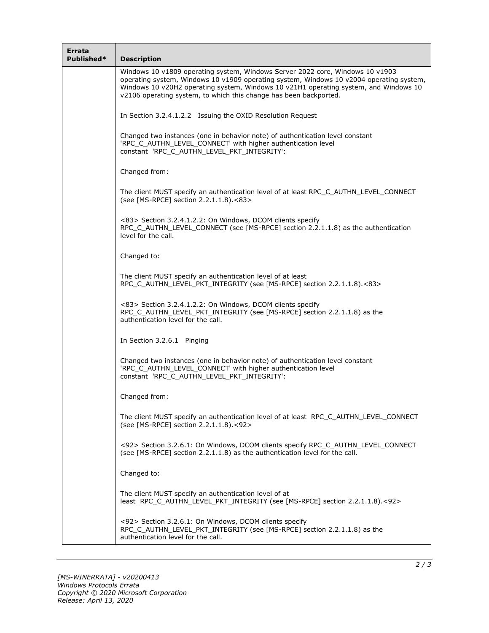| Errata<br>Published* | <b>Description</b>                                                                                                                                                                                                                                                                                                                    |
|----------------------|---------------------------------------------------------------------------------------------------------------------------------------------------------------------------------------------------------------------------------------------------------------------------------------------------------------------------------------|
|                      | Windows 10 v1809 operating system, Windows Server 2022 core, Windows 10 v1903<br>operating system, Windows 10 v1909 operating system, Windows 10 v2004 operating system,<br>Windows 10 v20H2 operating system, Windows 10 v21H1 operating system, and Windows 10<br>v2106 operating system, to which this change has been backported. |
|                      | In Section 3.2.4.1.2.2 Issuing the OXID Resolution Request                                                                                                                                                                                                                                                                            |
|                      | Changed two instances (one in behavior note) of authentication level constant<br>'RPC_C_AUTHN_LEVEL_CONNECT' with higher authentication level<br>constant 'RPC_C_AUTHN_LEVEL_PKT_INTEGRITY':                                                                                                                                          |
|                      | Changed from:                                                                                                                                                                                                                                                                                                                         |
|                      | The client MUST specify an authentication level of at least RPC_C_AUTHN_LEVEL_CONNECT<br>(see [MS-RPCE] section 2.2.1.1.8).<83>                                                                                                                                                                                                       |
|                      | <83> Section 3.2.4.1.2.2: On Windows, DCOM clients specify<br>RPC C AUTHN LEVEL CONNECT (see [MS-RPCE] section 2.2.1.1.8) as the authentication<br>level for the call.                                                                                                                                                                |
|                      | Changed to:                                                                                                                                                                                                                                                                                                                           |
|                      | The client MUST specify an authentication level of at least<br>RPC C AUTHN LEVEL PKT INTEGRITY (see [MS-RPCE] section 2.2.1.1.8).<83>                                                                                                                                                                                                 |
|                      | <83> Section 3.2.4.1.2.2: On Windows, DCOM clients specify<br>RPC_C_AUTHN_LEVEL_PKT_INTEGRITY (see [MS-RPCE] section 2.2.1.1.8) as the<br>authentication level for the call.                                                                                                                                                          |
|                      | In Section 3.2.6.1 Pinging                                                                                                                                                                                                                                                                                                            |
|                      | Changed two instances (one in behavior note) of authentication level constant<br>'RPC C AUTHN LEVEL CONNECT' with higher authentication level<br>constant 'RPC C AUTHN LEVEL PKT INTEGRITY':                                                                                                                                          |
|                      | Changed from:                                                                                                                                                                                                                                                                                                                         |
|                      | The client MUST specify an authentication level of at least RPC_C_AUTHN_LEVEL_CONNECT<br>(see [MS-RPCE] section 2.2.1.1.8).<92>                                                                                                                                                                                                       |
|                      | <92> Section 3.2.6.1: On Windows, DCOM clients specify RPC_C_AUTHN_LEVEL_CONNECT<br>(see [MS-RPCE] section 2.2.1.1.8) as the authentication level for the call.                                                                                                                                                                       |
|                      | Changed to:                                                                                                                                                                                                                                                                                                                           |
|                      | The client MUST specify an authentication level of at<br>least RPC_C_AUTHN_LEVEL_PKT_INTEGRITY (see [MS-RPCE] section 2.2.1.1.8).<92>                                                                                                                                                                                                 |
|                      | <92> Section 3.2.6.1: On Windows, DCOM clients specify<br>RPC_C_AUTHN_LEVEL_PKT_INTEGRITY (see [MS-RPCE] section 2.2.1.1.8) as the<br>authentication level for the call.                                                                                                                                                              |